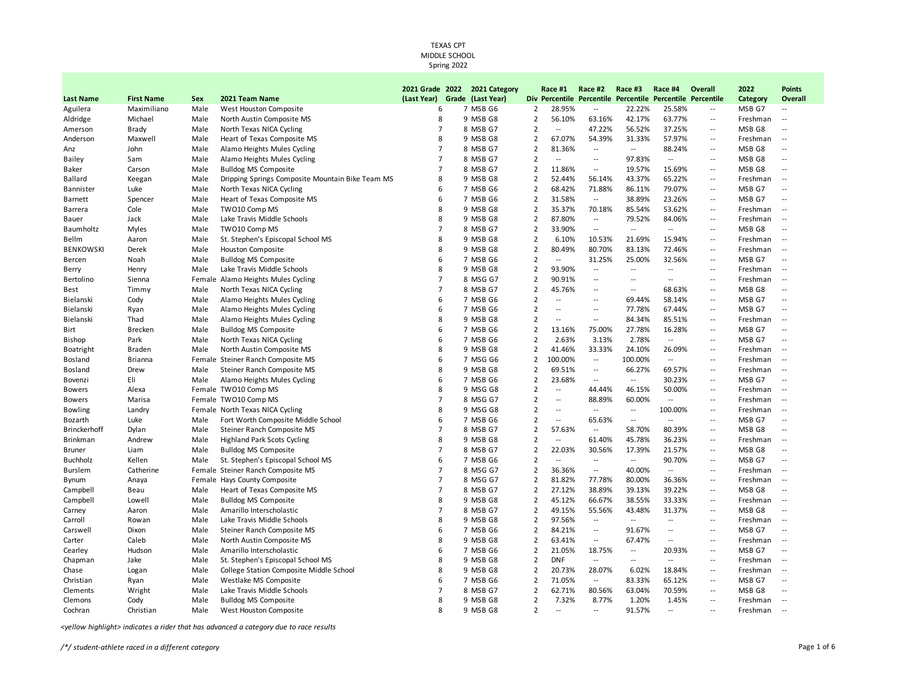|                  |                   |      |                                                  | 2021 Grade 2022 | 2021 Category     |                | Race #1                  | Race #2                    | Race #3                      | Race #4                      | Overall                  | 2022     | <b>Points</b>            |
|------------------|-------------------|------|--------------------------------------------------|-----------------|-------------------|----------------|--------------------------|----------------------------|------------------------------|------------------------------|--------------------------|----------|--------------------------|
| <b>Last Name</b> | <b>First Name</b> | Sex  | 2021 Team Name                                   | (Last Year)     | Grade (Last Year) |                | Div Percentile           |                            | <b>Percentile Percentile</b> | <b>Percentile Percentile</b> |                          | Category | Overall                  |
| Aguilera         | Maximiliano       | Male | West Houston Composite                           | 6               | 7 MSB G6          | $\overline{2}$ | 28.95%                   | $\overline{a}$             | 22.22%                       | 25.58%                       | $\overline{a}$           | MSB G7   | $\overline{\phantom{a}}$ |
| Aldridge         | Michael           | Male | North Austin Composite MS                        | 8               | 9 MSB G8          | $\overline{2}$ | 56.10%                   | 63.16%                     | 42.17%                       | 63.77%                       | $\sim$ $\sim$            | Freshman | $\sim$                   |
| Amerson          | Brady             | Male | North Texas NICA Cycling                         | $\overline{7}$  | 8 MSB G7          | $\overline{2}$ | $\overline{a}$           | 47.22%                     | 56.52%                       | 37.25%                       | $\overline{a}$           | MSB G8   | $\overline{\phantom{a}}$ |
| Anderson         | Maxwell           | Male | Heart of Texas Composite MS                      | 8               | 9 MSB G8          | $\overline{2}$ | 67.07%                   | 54.39%                     | 31.33%                       | 57.97%                       | $\overline{a}$           | Freshman | $\overline{a}$           |
| Anz              | John              | Male | Alamo Heights Mules Cycling                      | $\overline{7}$  | 8 MSB G7          | $\overline{2}$ | 81.36%                   | $\overline{\phantom{a}}$   | $\overline{\phantom{a}}$     | 88.24%                       | $\overline{\phantom{a}}$ | MSB G8   | $\sim$                   |
| Bailey           | Sam               | Male | Alamo Heights Mules Cycling                      | 7               | 8 MSB G7          | $\overline{2}$ | $\overline{a}$           | $\overline{a}$             | 97.83%                       | $\overline{\phantom{a}}$     | $\overline{a}$           | MSB G8   | $\overline{\phantom{a}}$ |
| Baker            | Carson            | Male | <b>Bulldog MS Composite</b>                      | $\overline{7}$  | 8 MSB G7          | 2              | 11.86%                   | $\sim$ $\sim$              | 19.57%                       | 15.69%                       | $\overline{a}$           | MSB G8   | $\sim$                   |
| Ballard          | Keegan            | Male | Dripping Springs Composite Mountain Bike Team MS | 8               | 9 MSB G8          | $\overline{2}$ | 52.44%                   | 56.14%                     | 43.37%                       | 65.22%                       | $\overline{a}$           | Freshman | $\sim$                   |
| Bannister        | Luke              | Male | North Texas NICA Cycling                         | 6               | 7 MSB G6          | $\overline{2}$ | 68.42%                   | 71.88%                     | 86.11%                       | 79.07%                       | $\sim$ $\sim$            | MSB G7   | $\overline{\phantom{a}}$ |
| <b>Barnett</b>   | Spencer           | Male | Heart of Texas Composite MS                      | 6               | 7 MSB G6          | 2              | 31.58%                   | $\overline{\phantom{a}}$   | 38.89%                       | 23.26%                       | $\overline{a}$           | MSB G7   | $\overline{\phantom{a}}$ |
| Barrera          | Cole              | Male | TWO10 Comp MS                                    | 8               | 9 MSB G8          | $\overline{2}$ | 35.37%                   | 70.18%                     | 85.54%                       | 53.62%                       | $\overline{a}$           | Freshman | $\sim$                   |
| Bauer            | Jack              | Male | Lake Travis Middle Schools                       | 8               | 9 MSB G8          | $\overline{2}$ | 87.80%                   | $\overline{\phantom{a}}$   | 79.52%                       | 84.06%                       | $\overline{\phantom{a}}$ | Freshman | $\overline{a}$           |
| Baumholtz        | Myles             | Male | TWO10 Comp MS                                    | 7               | 8 MSB G7          | 2              | 33.90%                   | $\overline{\phantom{a}}$   | $\overline{\phantom{a}}$     | $\overline{\phantom{a}}$     | $\overline{a}$           | MSB G8   | $\overline{\phantom{a}}$ |
| Bellm            | Aaron             | Male | St. Stephen's Episcopal School MS                | 8               | 9 MSB G8          | 2              | 6.10%                    | 10.53%                     | 21.69%                       | 15.94%                       | $\sim$                   | Freshman | $\overline{a}$           |
| <b>BENKOWSKI</b> | Derek             | Male | <b>Houston Composite</b>                         | 8               | 9 MSB G8          | $\overline{2}$ | 80.49%                   | 80.70%                     | 83.13%                       | 72.46%                       | $\overline{a}$           | Freshman | $\overline{\phantom{a}}$ |
| Bercen           | Noah              | Male | <b>Bulldog MS Composite</b>                      | 6               | 7 MSB G6          | $\overline{2}$ | $\overline{a}$           | 31.25%                     | 25.00%                       | 32.56%                       | --                       | MSB G7   | $\overline{\phantom{a}}$ |
| Berry            | Henry             | Male | Lake Travis Middle Schools                       | 8               | 9 MSB G8          | $\overline{2}$ | 93.90%                   | $\overline{\phantom{a}}$   | $\overline{a}$               | $\overline{\phantom{a}}$     | $\overline{a}$           | Freshman | $\overline{\phantom{a}}$ |
| Bertolino        | Sienna            |      | Female Alamo Heights Mules Cycling               | 7               | 8 MSG G7          | $\overline{2}$ | 90.91%                   | $\overline{\phantom{a}}$   | $\overline{\phantom{a}}$     | $\overline{\phantom{a}}$     | --                       | Freshman | $\overline{\phantom{a}}$ |
| Best             | Timmy             | Male | North Texas NICA Cycling                         | $\overline{7}$  | 8 MSB G7          | $\overline{2}$ | 45.76%                   | $\overline{\phantom{a}}$ . | --                           | 68.63%                       | $\overline{\phantom{a}}$ | MSB G8   | $\overline{\phantom{a}}$ |
| Bielanski        | Cody              | Male | Alamo Heights Mules Cycling                      | 6               | 7 MSB G6          | $\overline{2}$ | $\overline{a}$           | $\overline{a}$             | 69.44%                       | 58.14%                       | $\overline{a}$           | MSB G7   | $\overline{a}$           |
| Bielanski        | Ryan              | Male | Alamo Heights Mules Cycling                      | 6               | 7 MSB G6          | $\overline{2}$ | $\overline{a}$           | $\overline{a}$             | 77.78%                       | 67.44%                       | $\sim$                   | MSB G7   | $\overline{\phantom{a}}$ |
| Bielanski        | Thad              | Male | Alamo Heights Mules Cycling                      | 8               | 9 MSB G8          | $\overline{2}$ | $\overline{\phantom{a}}$ | $\overline{a}$             | 84.34%                       | 85.51%                       | ۰.                       | Freshman | $\overline{\phantom{a}}$ |
| Birt             | <b>Brecken</b>    | Male | <b>Bulldog MS Composite</b>                      | 6               | 7 MSB G6          | $\overline{2}$ | 13.16%                   | 75.00%                     | 27.78%                       | 16.28%                       | $\sim$ $\sim$            | MSB G7   | $\sim$                   |
| <b>Bishop</b>    | Park              | Male | North Texas NICA Cycling                         | 6               | 7 MSB G6          | $\overline{2}$ | 2.63%                    | 3.13%                      | 2.78%                        | $\overline{a}$               | $\overline{a}$           | MSB G7   | $\overline{\phantom{a}}$ |
| <b>Boatright</b> | <b>Braden</b>     | Male | North Austin Composite MS                        | 8               | 9 MSB G8          | $\overline{2}$ | 41.46%                   | 33.33%                     | 24.10%                       | 26.09%                       | --                       | Freshman | $\overline{\phantom{a}}$ |
| Bosland          | <b>Brianna</b>    |      | Female Steiner Ranch Composite MS                | 6               | 7 MSG G6          | $\overline{2}$ | 100.00%                  | $\overline{a}$             | 100.00%                      | $\overline{\phantom{a}}$     | $\sim$                   | Freshman | $\overline{\phantom{a}}$ |
| Bosland          | Drew              | Male | Steiner Ranch Composite MS                       | 8               | 9 MSB G8          | 2              | 69.51%                   | $\overline{\phantom{a}}$   | 66.27%                       | 69.57%                       | $\overline{\phantom{a}}$ | Freshman | $\overline{\phantom{a}}$ |
| Bovenzi          | Eli               | Male | Alamo Heights Mules Cycling                      | 6               | 7 MSB G6          | $\overline{2}$ | 23.68%                   | $\overline{\phantom{a}}$   | $\overline{\phantom{a}}$     | 30.23%                       | $\overline{\phantom{a}}$ | MSB G7   | $\ddotsc$                |
| <b>Bowers</b>    | Alexa             |      | Female TWO10 Comp MS                             | 8               | 9 MSG G8          | $\overline{2}$ | $\overline{a}$           | 44.44%                     | 46.15%                       | 50.00%                       | $\overline{a}$           | Freshman | $\overline{\phantom{a}}$ |
| <b>Bowers</b>    | Marisa            |      | Female TWO10 Comp MS                             | 7               | 8 MSG G7          | $\overline{2}$ | $\overline{\phantom{a}}$ | 88.89%                     | 60.00%                       | $\overline{\phantom{a}}$     | $\overline{\phantom{a}}$ | Freshman | $\overline{a}$           |
| <b>Bowling</b>   | Landry            |      | Female North Texas NICA Cycling                  | 8               | 9 MSG G8          | $\overline{2}$ | $\overline{\phantom{a}}$ | $\overline{\phantom{a}}$   | $\overline{a}$               | 100.00%                      | $\overline{a}$           | Freshman | $\overline{a}$           |
| Bozarth          | Luke              | Male | Fort Worth Composite Middle School               | 6               | 7 MSB G6          | $\overline{2}$ | --                       | 65.63%                     | $\overline{\phantom{a}}$     | $\overline{\phantom{a}}$     | $\overline{a}$           | MSB G7   | $\overline{\phantom{a}}$ |
| Brinckerhoff     | Dylan             | Male | Steiner Ranch Composite MS                       | $\overline{7}$  | 8 MSB G7          | $\overline{2}$ | 57.63%                   | $\overline{a}$             | 58.70%                       | 80.39%                       | $\overline{\phantom{a}}$ | MSB G8   | $\sim$                   |
| <b>Brinkman</b>  | Andrew            | Male | <b>Highland Park Scots Cycling</b>               | 8               | 9 MSB G8          | 2              | $\overline{a}$           | 61.40%                     | 45.78%                       | 36.23%                       | --                       | Freshman | $\overline{\phantom{a}}$ |
| Bruner           | Liam              | Male | <b>Bulldog MS Composite</b>                      | $\overline{7}$  | 8 MSB G7          | $\overline{2}$ | 22.03%                   | 30.56%                     | 17.39%                       | 21.57%                       | $\sim$ $\sim$            | MSB G8   | $\overline{\phantom{a}}$ |
| <b>Buchholz</b>  | Kellen            | Male | St. Stephen's Episcopal School MS                | 6               | 7 MSB G6          | $\overline{2}$ | $\overline{a}$           | $\overline{a}$             | $\overline{a}$               | 90.70%                       | $\overline{a}$           | MSB G7   | $\overline{\phantom{a}}$ |
| <b>Burslem</b>   | Catherine         |      | Female Steiner Ranch Composite MS                | 7               | 8 MSG G7          | $\overline{2}$ | 36.36%                   | $\overline{\phantom{a}}$   | 40.00%                       | $\overline{\phantom{a}}$     | $\overline{\phantom{a}}$ | Freshman | $\overline{\phantom{a}}$ |
| <b>Bynum</b>     | Anaya             |      | Female Hays County Composite                     | $\overline{7}$  | 8 MSG G7          | $\overline{2}$ | 81.82%                   | 77.78%                     | 80.00%                       | 36.36%                       | $\overline{a}$           | Freshman | $\overline{\phantom{a}}$ |
| Campbell         | Beau              | Male | Heart of Texas Composite MS                      | $\overline{7}$  | 8 MSB G7          | $\overline{2}$ | 27.12%                   | 38.89%                     | 39.13%                       | 39.22%                       | $\overline{a}$           | MSB G8   | $\sim$                   |
| Campbell         | Lowell            | Male | <b>Bulldog MS Composite</b>                      | 8               | 9 MSB G8          | $\overline{2}$ | 45.12%                   | 66.67%                     | 38.55%                       | 33.33%                       | $\overline{a}$           | Freshman | $\overline{\phantom{a}}$ |
| Carney           | Aaron             | Male | Amarillo Interscholastic                         | $\overline{7}$  | 8 MSB G7          | $\overline{2}$ | 49.15%                   | 55.56%                     | 43.48%                       | 31.37%                       | --                       | MSB G8   | $\overline{\phantom{a}}$ |
| Carroll          | Rowan             | Male | Lake Travis Middle Schools                       | 8               | 9 MSB G8          | $\overline{2}$ | 97.56%                   | $\overline{\phantom{a}}$   | $\overline{\phantom{a}}$     | $\overline{a}$               | $\sim$                   | Freshman | $\overline{\phantom{a}}$ |
| Carswell         | Dixon             | Male | Steiner Ranch Composite MS                       | 6               | 7 MSB G6          | $\overline{2}$ | 84.21%                   | $\overline{\phantom{a}}$   | 91.67%                       | $\overline{\phantom{a}}$     | $\overline{\phantom{a}}$ | MSB G7   | $\overline{\phantom{a}}$ |
| Carter           | Caleb             | Male | North Austin Composite MS                        | 8               | 9 MSB G8          | $\overline{2}$ | 63.41%                   | $\overline{\phantom{a}}$   | 67.47%                       | $\overline{\phantom{a}}$     | $\overline{\phantom{a}}$ | Freshman | $\overline{\phantom{a}}$ |
| Cearley          | Hudson            | Male | Amarillo Interscholastic                         | 6               | 7 MSB G6          | 2              | 21.05%                   | 18.75%                     | $\overline{a}$               | 20.93%                       | $\overline{a}$           | MSB G7   | $\sim$                   |
| Chapman          | Jake              | Male | St. Stephen's Episcopal School MS                | 8               | 9 MSB G8          | 2              | <b>DNF</b>               | $\overline{\phantom{a}}$   | --                           | $\overline{\phantom{a}}$     | $\overline{a}$           | Freshman | $\sim$                   |
| Chase            | Logan             | Male | College Station Composite Middle School          | 8               | 9 MSB G8          | $\overline{2}$ | 20.73%                   | 28.07%                     | 6.02%                        | 18.84%                       | $\overline{a}$           | Freshman | $\overline{\phantom{a}}$ |
| Christian        | Ryan              | Male | Westlake MS Composite                            | 6               | 7 MSB G6          | $\overline{2}$ | 71.05%                   | $\overline{\phantom{a}}$   | 83.33%                       | 65.12%                       | $\overline{a}$           | MSB G7   | $\overline{\phantom{a}}$ |
| Clements         | Wright            | Male | Lake Travis Middle Schools                       | 7               | 8 MSB G7          | $\overline{2}$ | 62.71%                   | 80.56%                     | 63.04%                       | 70.59%                       | $\overline{\phantom{a}}$ | MSB G8   | $\sim$                   |
| Clemons          | Cody              | Male | <b>Bulldog MS Composite</b>                      | 8               | 9 MSB G8          | $\overline{2}$ | 7.32%                    | 8.77%                      | 1.20%                        | 1.45%                        | $\overline{\phantom{a}}$ | Freshman | $\overline{\phantom{a}}$ |
| Cochran          | Christian         | Male | West Houston Composite                           | 8               | 9 MSB G8          | $\mathcal{P}$  | $\overline{a}$           | $\sim$                     | 91.57%                       | $\sim$                       | $\overline{a}$           | Freshman | $\sim$                   |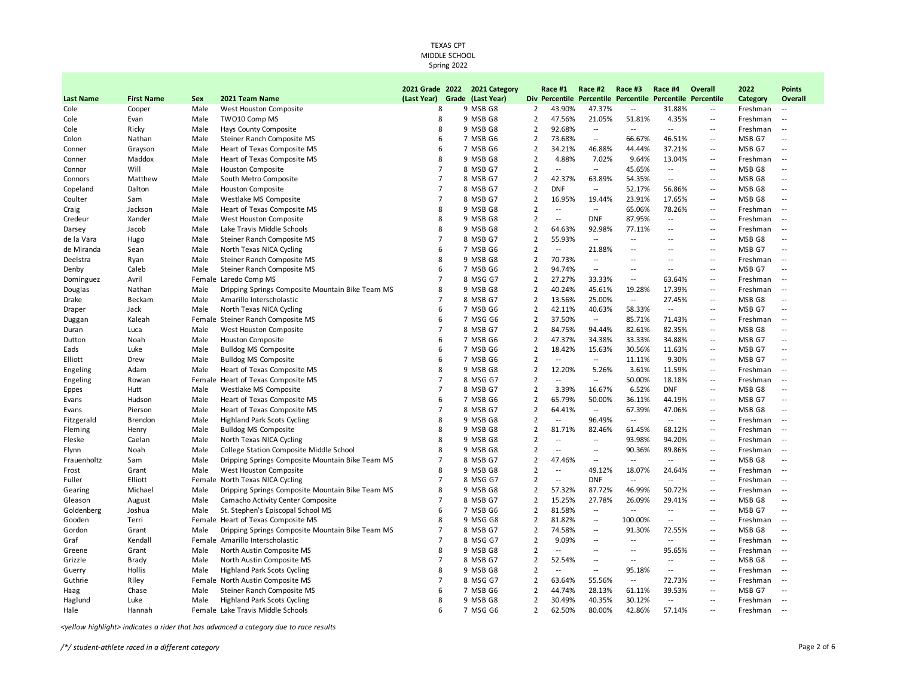|                  |                   |      |                                                  |                | 2021 Grade 2022 2021 Category |                | Race #1                  | Race #2                  | Race #3                  | Race #4                                                    | Overall                    | 2022     | <b>Points</b>                                 |
|------------------|-------------------|------|--------------------------------------------------|----------------|-------------------------------|----------------|--------------------------|--------------------------|--------------------------|------------------------------------------------------------|----------------------------|----------|-----------------------------------------------|
| <b>Last Name</b> | <b>First Name</b> | Sex  | 2021 Team Name                                   | (Last Year)    | Grade (Last Year)             |                |                          |                          |                          | Div Percentile Percentile Percentile Percentile Percentile |                            | Category | Overall                                       |
| Cole             | Cooper            | Male | West Houston Composite                           | 8              | 9 MSB G8                      | $\overline{2}$ | 43.90%                   | 47.37%                   | $\overline{\phantom{a}}$ | 31.88%                                                     | $\sim$                     | Freshman | $\sim$                                        |
| Cole             | Evan              | Male | TWO10 Comp MS                                    | 8              | 9 MSB G8                      | $\overline{2}$ | 47.56%                   | 21.05%                   | 51.81%                   | 4.35%                                                      | $\sim$ $-$                 | Freshman | $\overline{\phantom{a}}$                      |
| Cole             | Ricky             | Male | Hays County Composite                            | 8              | 9 MSB G8                      | $\overline{2}$ | 92.68%                   | $\overline{\phantom{a}}$ | $\overline{\phantom{a}}$ | $\overline{\phantom{a}}$                                   | $\sim$ $\sim$              | Freshman | $\sim$                                        |
| Colon            | Nathan            | Male | Steiner Ranch Composite MS                       | 6              | 7 MSB G6                      | $\overline{2}$ | 73.68%                   | ٠.                       | 66.67%                   | 46.51%                                                     | $\overline{\phantom{a}}$   | MSB G7   | $\overline{\phantom{a}}$                      |
| Conner           | Grayson           | Male | Heart of Texas Composite MS                      | 6              | 7 MSB G6                      | $\overline{2}$ | 34.21%                   | 46.88%                   | 44.44%                   | 37.21%                                                     | $\overline{a}$             | MSB G7   | $\overline{\phantom{a}}$                      |
| Conner           | Maddox            | Male | Heart of Texas Composite MS                      | 8              | 9 MSB G8                      | $\overline{2}$ | 4.88%                    | 7.02%                    | 9.64%                    | 13.04%                                                     | $\sim$ $\sim$              | Freshman | $\sim$                                        |
| Connor           | Will              | Male | <b>Houston Composite</b>                         | $\overline{7}$ | 8 MSB G7                      | $\overline{2}$ | $\overline{a}$           | $\overline{a}$           | 45.65%                   | $\overline{a}$                                             | $-$                        | MSB G8   | $\overline{\phantom{a}}$                      |
| Connors          | Matthew           | Male | South Metro Composite                            | $\overline{7}$ | 8 MSB G7                      | $\overline{2}$ | 42.37%                   | 63.89%                   | 54.35%                   | $\overline{\phantom{a}}$                                   | $\sim$                     | MSB G8   | $\sim$                                        |
| Copeland         | Dalton            | Male | <b>Houston Composite</b>                         | $\overline{7}$ | 8 MSB G7                      | $\overline{2}$ | <b>DNF</b>               | $\overline{\phantom{a}}$ | 52.17%                   | 56.86%                                                     | $\overline{a}$             | MSB G8   | $\overline{\phantom{a}}$                      |
| Coulter          | Sam               | Male | Westlake MS Composite                            | $\overline{7}$ | 8 MSB G7                      | $\overline{2}$ | 16.95%                   | 19.44%                   | 23.91%                   | 17.65%                                                     | $\sim$                     | MSB G8   | $\overline{\phantom{a}}$                      |
| Craig            | Jackson           | Male | Heart of Texas Composite MS                      | 8              | 9 MSB G8                      | $\overline{2}$ | $\overline{a}$           | $\sim$ $\sim$            | 65.06%                   | 78.26%                                                     | $\sim$                     | Freshman | $\overline{\phantom{a}}$                      |
| Credeur          | Xander            | Male | West Houston Composite                           | 8              | 9 MSB G8                      | $\overline{2}$ | $\overline{\phantom{a}}$ | <b>DNF</b>               | 87.95%                   | $\overline{a}$                                             | $\overline{a}$             | Freshman | $\overline{\phantom{a}}$                      |
| Darsey           | Jacob             | Male | Lake Travis Middle Schools                       | 8              | 9 MSB G8                      | $\overline{2}$ | 64.63%                   | 92.98%                   | 77.11%                   | --                                                         | $\overline{\phantom{a}}$   | Freshman | $\mathord{\hspace{1pt}\text{--}\hspace{1pt}}$ |
| de la Vara       | Hugo              | Male | Steiner Ranch Composite MS                       | $\overline{7}$ | 8 MSB G7                      | $\overline{2}$ | 55.93%                   | $\overline{\phantom{a}}$ | $\overline{a}$           | $\overline{a}$                                             | $\overline{\phantom{a}}$   | MSB G8   | --                                            |
| de Miranda       | Sean              | Male | North Texas NICA Cycling                         | 6              | 7 MSB G6                      | $\overline{2}$ | $\sim$                   | 21.88%                   | $\overline{\phantom{a}}$ | $\overline{a}$                                             | $\overline{\phantom{a}}$   | MSB G7   | $\sim$                                        |
| Deelstra         | Ryan              | Male | Steiner Ranch Composite MS                       | 8              | 9 MSB G8                      | $\overline{2}$ | 70.73%                   | $\overline{\phantom{a}}$ | --                       | Ξ.                                                         | $\overline{a}$             | Freshman | $\sim$                                        |
| Denby            | Caleb             | Male | Steiner Ranch Composite MS                       | 6              | 7 MSB G6                      | $\overline{2}$ | 94.74%                   | $\overline{\phantom{a}}$ | $\overline{a}$           | Ξ.                                                         | $\overline{a}$             | MSB G7   | $\overline{\phantom{a}}$                      |
| Dominguez        | Avril             |      | Female Laredo Comp MS                            | $\overline{7}$ | 8 MSG G7                      | $\overline{2}$ | 27.27%                   | 33.33%                   | $\sim$                   | 63.64%                                                     | $\sim$                     | Freshman | $\sim$                                        |
| Douglas          | Nathan            | Male | Dripping Springs Composite Mountain Bike Team MS | 8              | 9 MSB G8                      | $\overline{2}$ | 40.24%                   | 45.61%                   | 19.28%                   | 17.39%                                                     | $\overline{a}$             | Freshman | $\sim$                                        |
| Drake            | Beckam            | Male | Amarillo Interscholastic                         | $\overline{7}$ | 8 MSB G7                      | $\overline{2}$ | 13.56%                   | 25.00%                   | $\overline{\phantom{a}}$ | 27.45%                                                     | $\sim$ $-$                 | MSB G8   | $\overline{\phantom{a}}$                      |
| Draper           | Jack              | Male | North Texas NICA Cycling                         | 6              | 7 MSB G6                      | 2              | 42.11%                   | 40.63%                   | 58.33%                   | $\overline{\phantom{a}}$                                   | $\overline{a}$             | MSB G7   | $\overline{\phantom{a}}$                      |
| Duggan           | Kaleah            |      | Female Steiner Ranch Composite MS                | 6              | 7 MSG G6                      | $\overline{2}$ | 37.50%                   | $\overline{\phantom{a}}$ | 85.71%                   | 71.43%                                                     | $\overline{a}$             | Freshman | $\mathord{\hspace{1pt}\text{--}\hspace{1pt}}$ |
| Duran            | Luca              | Male | West Houston Composite                           | 7              | 8 MSB G7                      | 2              | 84.75%                   | 94.44%                   | 82.61%                   | 82.35%                                                     | $\sim$                     | MSB G8   | $\overline{\phantom{a}}$                      |
| Dutton           | Noah              | Male | <b>Houston Composite</b>                         | 6              | 7 MSB G6                      | $\overline{2}$ | 47.37%                   | 34.38%                   | 33.33%                   | 34.88%                                                     | $\overline{a}$             | MSB G7   | $\overline{\phantom{a}}$                      |
| Eads             | Luke              | Male | <b>Bulldog MS Composite</b>                      | 6              | 7 MSB G6                      | $\overline{2}$ | 18.42%                   | 15.63%                   | 30.56%                   | 11.63%                                                     | $\overline{\phantom{a}}$   | MSB G7   | $\overline{\phantom{a}}$                      |
| Elliott          | Drew              | Male | <b>Bulldog MS Composite</b>                      | 6              | 7 MSB G6                      | $\overline{2}$ | $\overline{a}$           | $\overline{\phantom{a}}$ | 11.11%                   | 9.30%                                                      | $\overline{a}$             | MSB G7   | $\overline{\phantom{a}}$                      |
| Engeling         | Adam              | Male | Heart of Texas Composite MS                      | 8              | 9 MSB G8                      | $\overline{2}$ | 12.20%                   | 5.26%                    | 3.61%                    | 11.59%                                                     | $\overline{\phantom{a}}$   | Freshman | $\sim$                                        |
| Engeling         | Rowan             |      | Female Heart of Texas Composite MS               | $\overline{7}$ | 8 MSG G7                      | $\overline{2}$ | Ξ.                       | --                       | 50.00%                   | 18.18%                                                     | $\overline{a}$             | Freshman | $\sim$                                        |
| <b>Eppes</b>     | Hutt              | Male | Westlake MS Composite                            | $\overline{7}$ | 8 MSB G7                      | $\overline{2}$ | 3.39%                    | 16.67%                   | 6.52%                    | <b>DNF</b>                                                 | $\sim$                     | MSB G8   | $\overline{\phantom{a}}$                      |
| Evans            | Hudson            | Male | Heart of Texas Composite MS                      | 6              | 7 MSB G6                      | $\overline{2}$ | 65.79%                   | 50.00%                   | 36.11%                   | 44.19%                                                     | $\overline{\phantom{a}}$ . | MSB G7   | $\overline{\phantom{a}}$                      |
| Evans            | Pierson           | Male | Heart of Texas Composite MS                      | $\overline{7}$ | 8 MSB G7                      | $\overline{2}$ | 64.41%                   | $\overline{\phantom{a}}$ | 67.39%                   | 47.06%                                                     | $\overline{a}$             | MSB G8   | $\overline{\phantom{a}}$                      |
| Fitzgerald       | <b>Brendon</b>    | Male | <b>Highland Park Scots Cycling</b>               | 8              | 9 MSB G8                      | $\overline{2}$ | $\overline{\phantom{a}}$ | 96.49%                   | $\overline{\phantom{a}}$ | $\overline{\phantom{a}}$                                   | $\overline{a}$             | Freshman | $\overline{\phantom{a}}$                      |
| Fleming          | Henry             | Male | <b>Bulldog MS Composite</b>                      | 8              | 9 MSB G8                      | 2              | 81.71%                   | 82.46%                   | 61.45%                   | 68.12%                                                     | $\sim$ $-$                 | Freshman | $\mathord{\hspace{1pt}\text{--}\hspace{1pt}}$ |
| Fleske           | Caelan            | Male | North Texas NICA Cycling                         | 8              | 9 MSB G8                      | $\overline{2}$ | $\overline{\phantom{a}}$ | $\overline{\phantom{a}}$ | 93.98%                   | 94.20%                                                     | $\overline{a}$             | Freshman | $\overline{\phantom{a}}$                      |
| Flynn            | Noah              | Male | College Station Composite Middle School          | 8              | 9 MSB G8                      | $\overline{2}$ | $\overline{\phantom{a}}$ | $\overline{a}$           | 90.36%                   | 89.86%                                                     | $-$                        | Freshman | $\mathord{\hspace{1pt}\text{--}\hspace{1pt}}$ |
| Frauenholtz      | Sam               | Male | Dripping Springs Composite Mountain Bike Team MS | $\overline{7}$ | 8 MSB G7                      | $\overline{2}$ | 47.46%                   | $\overline{a}$           | $\overline{a}$           | $\overline{\phantom{a}}$                                   | $\overline{a}$             | MSB G8   | Ξ.                                            |
| Frost            | Grant             | Male | West Houston Composite                           | 8              | 9 MSB G8                      | $\overline{2}$ | --                       | 49.12%                   | 18.07%                   | 24.64%                                                     | $\overline{\phantom{a}}$   | Freshman | $\overline{\phantom{a}}$                      |
| Fuller           | Elliott           |      | Female North Texas NICA Cycling                  | $\overline{7}$ | 8 MSG G7                      | $\overline{2}$ | $\overline{\phantom{a}}$ | <b>DNF</b>               | $\overline{a}$           | $\overline{a}$                                             | $\overline{a}$             | Freshman | $\sim$                                        |
| Gearing          | Michael           | Male | Dripping Springs Composite Mountain Bike Team MS | 8              | 9 MSB G8                      | $\overline{2}$ | 57.32%                   | 87.72%                   | 46.99%                   | 50.72%                                                     | $\overline{\phantom{a}}$   | Freshman | $\sim$                                        |
| Gleason          | August            | Male | Camacho Activity Center Composite                | $\overline{7}$ | 8 MSB G7                      | $\overline{2}$ | 15.25%                   | 27.78%                   | 26.09%                   | 29.41%                                                     | $\overline{\phantom{a}}$   | MSB G8   |                                               |
| Goldenberg       | Joshua            | Male | St. Stephen's Episcopal School MS                | 6              | 7 MSB G6                      | $\overline{2}$ | 81.58%                   | $\sim$                   | $\sim$                   | --                                                         | $\sim$                     | MSB G7   | $\overline{\phantom{a}}$                      |
| Gooden           | Terri             |      | Female Heart of Texas Composite MS               | 8              | 9 MSG G8                      | 2              | 81.82%                   | $\overline{\phantom{a}}$ | 100.00%                  | Ξ.                                                         | $\sim$                     | Freshman | $\overline{\phantom{a}}$                      |
| Gordon           | Grant             | Male | Dripping Springs Composite Mountain Bike Team MS | 7              | 8 MSB G7                      | $\overline{2}$ | 74.58%                   | $\overline{a}$           | 91.30%                   | 72.55%                                                     | $\overline{a}$             | MSB G8   | $\overline{\phantom{a}}$                      |
| Graf             | Kendall           |      | Female Amarillo Interscholastic                  | $\overline{7}$ | 8 MSG G7                      | $\overline{2}$ | 9.09%                    | ۰.                       | $\overline{\phantom{a}}$ | $\overline{\phantom{a}}$                                   | $\overline{\phantom{a}}$   | Freshman | $\mathord{\hspace{1pt}\text{--}\hspace{1pt}}$ |
| Greene           | Grant             | Male | North Austin Composite MS                        | 8              | 9 MSB G8                      | 2              | --                       | $\overline{a}$           | ۰.                       | 95.65%                                                     | $\sim$ $-$                 | Freshman | $\overline{\phantom{a}}$                      |
| Grizzle          | <b>Brady</b>      | Male | North Austin Composite MS                        | $\overline{7}$ | 8 MSB G7                      | $\overline{2}$ | 52.54%                   | ۰.                       | $\overline{\phantom{a}}$ | --                                                         | $\overline{a}$             | MSB G8   | $\overline{\phantom{a}}$                      |
| Guerry           | Hollis            | Male | <b>Highland Park Scots Cycling</b>               | 8              | 9 MSB G8                      | $\overline{2}$ | $\ddotsc$                | $\overline{\phantom{a}}$ | 95.18%                   | $\overline{a}$                                             | $\sim$                     | Freshman | $\overline{\phantom{a}}$                      |
| Guthrie          | Riley             |      | Female North Austin Composite MS                 | $\overline{7}$ | 8 MSG G7                      | $\overline{2}$ | 63.64%                   | 55.56%                   | $\overline{\phantom{a}}$ | 72.73%                                                     | $\overline{a}$             | Freshman | $\overline{\phantom{a}}$                      |
| Haag             | Chase             | Male | Steiner Ranch Composite MS                       | 6              | 7 MSB G6                      | $\overline{2}$ | 44.74%                   | 28.13%                   | 61.11%                   | 39.53%                                                     | $\sim$ $\sim$              | MSB G7   | $\overline{a}$                                |
| Haglund          | Luke              | Male | <b>Highland Park Scots Cycling</b>               | 8              | 9 MSB G8                      | $\overline{2}$ | 30.49%                   | 40.35%                   | 30.12%                   | $\overline{a}$                                             | $\sim$                     | Freshman | $\overline{\phantom{a}}$                      |
| Hale             | Hannah            |      | Female, Lake Travis Middle Schools               | 6              | 7 MSG G6                      | $\overline{2}$ | 62.50%                   | 80.00%                   | 42.86%                   | 57.14%                                                     | $-$                        | Freshman | $\sim$                                        |

*<yellow highlight> indicates a rider that has advanced a category due to race results*

*/\*/ student-athlete raced in a different category* Page 2 of 6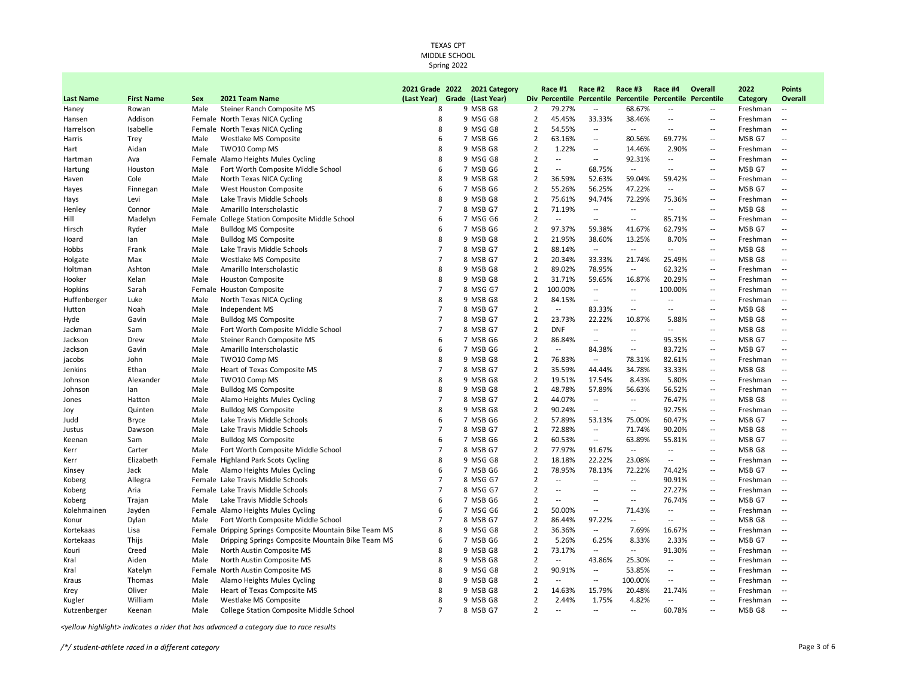**2021 Grade 2022 2021 Category** 

**Race #1 Race #2 Race #3 Race #4 Overall** 

**2022** 

**Points** 

| <b>Last Name</b> | <b>First Name</b> | <b>Sex</b> | 2021 Team Name                                          | (Last Year)         | Grade (Last Year) |                |                          | Div Percentile Percentile Percentile |                          | Percentile Percentile    |                          | Category | Overall                  |
|------------------|-------------------|------------|---------------------------------------------------------|---------------------|-------------------|----------------|--------------------------|--------------------------------------|--------------------------|--------------------------|--------------------------|----------|--------------------------|
| Haney            | Rowan             | Male       | Steiner Ranch Composite MS                              | 8                   | 9 MSB G8          | 2              | 79.27%                   | $\overline{\phantom{a}}$             | 68.67%                   | $\overline{a}$           | $\overline{a}$           | Freshman | $\sim$                   |
| Hansen           | Addison           |            | Female North Texas NICA Cycling                         | 8                   | 9 MSG G8          | 2              | 45.45%                   | 33.33%                               | 38.46%                   | ۰.                       | $\sim$                   | Freshman | $\sim$                   |
| Harrelson        | Isabelle          |            | Female North Texas NICA Cycling                         | 8                   | 9 MSG G8          | $\overline{2}$ | 54.55%                   | $\overline{\phantom{a}}$             | $-$                      | $\overline{a}$           | $\overline{a}$           | Freshman | $\sim$                   |
| Harris           | Trey              | Male       | Westlake MS Composite                                   | 6                   | 7 MSB G6          | $\overline{2}$ | 63.16%                   | $\overline{\phantom{a}}$             | 80.56%                   | 69.77%                   | $\overline{a}$           | MSB G7   | $\overline{\phantom{a}}$ |
| Hart             | Aidan             | Male       | TWO10 Comp MS                                           | 8                   | 9 MSB G8          | $\overline{2}$ | 1.22%                    | --                                   | 14.46%                   | 2.90%                    | $\overline{\phantom{a}}$ | Freshman | $\overline{\phantom{a}}$ |
| Hartman          | Ava               |            | Female Alamo Heights Mules Cycling                      | 8                   | 9 MSG G8          | $\overline{2}$ | $\overline{\phantom{a}}$ |                                      | 92.31%                   | --                       | $\overline{a}$           | Freshman | $\sim$                   |
| Hartung          | Houston           | Male       | Fort Worth Composite Middle School                      | 6                   | 7 MSB G6          | $\overline{2}$ | $\overline{a}$           | 68.75%                               | $\overline{a}$           | $\overline{a}$           | $\overline{a}$           | MSB G7   | $\sim$                   |
| Haven            | Cole              | Male       | North Texas NICA Cycling                                | 8                   | 9 MSB G8          | $\overline{2}$ | 36.59%                   | 52.63%                               | 59.04%                   | 59.42%                   | $\overline{a}$           | Freshman | $\sim$                   |
| Hayes            | Finnegan          | Male       | West Houston Composite                                  | 6                   | 7 MSB G6          | $\mathbf 2$    | 55.26%                   | 56.25%                               | 47.22%                   | Ξ.                       | $\ddotsc$                | MSB G7   | $\overline{\phantom{a}}$ |
| Hays             | Levi              | Male       | Lake Travis Middle Schools                              | 8                   | 9 MSB G8          | $\overline{2}$ | 75.61%                   | 94.74%                               | 72.29%                   | 75.36%                   | $\overline{a}$           | Freshman | $\sim$                   |
| Henley           | Connor            | Male       | Amarillo Interscholastic                                | $\overline{7}$      | 8 MSB G7          | $\mathbf 2$    | 71.19%                   | $\overline{\phantom{a}}$             | $\overline{\phantom{a}}$ | $\overline{\phantom{a}}$ | $\overline{a}$           | MSB G8   | $\overline{\phantom{a}}$ |
| Hill             | Madelyn           | Female     | College Station Composite Middle School                 | 6                   | 7 MSG G6          | $\overline{2}$ | $\overline{a}$           | $\overline{\phantom{a}}$             | $\overline{\phantom{a}}$ | 85.71%                   | $\sim$ $\sim$            | Freshman | $\sim$                   |
| Hirsch           | Ryder             | Male       | <b>Bulldog MS Composite</b>                             | 6                   | 7 MSB G6          | $\mathbf 2$    | 97.37%                   | 59.38%                               | 41.67%                   | 62.79%                   | $\overline{\phantom{a}}$ | MSB G7   | $\overline{\phantom{a}}$ |
| Hoard            | lan               | Male       | <b>Bulldog MS Composite</b>                             | 8                   | 9 MSB G8          | $\overline{2}$ | 21.95%                   | 38.60%                               | 13.25%                   | 8.70%                    | $\overline{a}$           | Freshman | $\sim$                   |
| Hobbs            | Frank             | Male       | Lake Travis Middle Schools                              | $\overline{7}$      | 8 MSB G7          | $\overline{2}$ | 88.14%                   | $\sim$                               | $\overline{a}$           | --                       | $\overline{a}$           | MSB G8   | $\overline{a}$           |
| Holgate          | Max               | Male       | Westlake MS Composite                                   | $\overline{7}$      | 8 MSB G7          | $\overline{2}$ | 20.34%                   | 33.33%                               | 21.74%                   | 25.49%                   | $\overline{a}$           | MSB G8   | $\overline{\phantom{a}}$ |
| Holtman          | Ashton            | Male       | Amarillo Interscholastic                                | 8                   | 9 MSB G8          | $\mathbf 2$    | 89.02%                   | 78.95%                               | $\overline{\phantom{a}}$ | 62.32%                   | $\ddotsc$                | Freshman | $\sim$                   |
| Hooker           | Kelan             | Male       | Houston Composite                                       | 8                   | 9 MSB G8          | $\overline{2}$ | 31.71%                   | 59.65%                               | 16.87%                   | 20.29%                   | $\overline{a}$           | Freshman | $\sim$                   |
| Hopkins          | Sarah             |            | Female Houston Composite                                | $\overline{7}$      | 8 MSG G7          | $\overline{2}$ | 100.00%                  | $\overline{\phantom{a}}$             | $\overline{\phantom{a}}$ | 100.00%                  | $\overline{\phantom{a}}$ | Freshman | $\sim$                   |
| Huffenberger     | Luke              | Male       | North Texas NICA Cycling                                | 8                   | 9 MSB G8          | $\overline{2}$ | 84.15%                   | $\overline{a}$                       | $\sim$ $\sim$            | $\overline{a}$           | $\overline{a}$           | Freshman | $\sim$                   |
| Hutton           | Noah              | Male       | Independent MS                                          | $\overline{7}$      | 8 MSB G7          | 2              | --                       | 83.33%                               | $\overline{a}$           | --                       | $\overline{a}$           | MSB G8   | $\overline{\phantom{a}}$ |
| Hyde             | Gavin             | Male       | <b>Bulldog MS Composite</b>                             | $\overline{7}$      | 8 MSB G7          | $\overline{2}$ | 23.73%                   | 22.22%                               | 10.87%                   | 5.88%                    | $\overline{\phantom{a}}$ | MSB G8   | $\overline{\phantom{a}}$ |
| Jackman          | Sam               | Male       | Fort Worth Composite Middle School                      | $\overline{7}$      | 8 MSB G7          | $\overline{2}$ | <b>DNF</b>               | $\overline{\phantom{a}}$             | $\overline{a}$           | $\overline{a}$           | $\overline{a}$           | MSB G8   | $\overline{\phantom{a}}$ |
|                  |                   | Male       | Steiner Ranch Composite MS                              | 6                   | 7 MSB G6          | $\overline{2}$ | 86.84%                   | $\overline{a}$                       | $\overline{\phantom{a}}$ | 95.35%                   | $\overline{a}$           | MSB G7   | $\overline{a}$           |
| Jackson          | Drew              |            |                                                         | 6                   | 7 MSB G6          | $\overline{2}$ | $\overline{\phantom{a}}$ |                                      | $\overline{a}$           | 83.72%                   | $\overline{\phantom{a}}$ | MSB G7   | $\overline{\phantom{a}}$ |
| Jackson          | Gavin             | Male       | Amarillo Interscholastic                                | 8                   |                   |                |                          | 84.38%                               |                          |                          |                          |          |                          |
| jacobs           | John              | Male       | TWO10 Comp MS                                           | $\overline{7}$      | 9 MSB G8          | $\overline{2}$ | 76.83%                   | $\overline{\phantom{a}}$             | 78.31%                   | 82.61%                   | $\overline{a}$           | Freshman | $\sim$                   |
| Jenkins          | Ethan             | Male       | Heart of Texas Composite MS                             |                     | 8 MSB G7          | $\overline{2}$ | 35.59%                   | 44.44%                               | 34.78%                   | 33.33%                   | $\overline{a}$           | MSB G8   | $\overline{\phantom{a}}$ |
| Johnson          | Alexander         | Male       | TWO10 Comp MS                                           | 8                   | 9 MSB G8          | $\overline{2}$ | 19.51%                   | 17.54%                               | 8.43%                    | 5.80%                    | $\overline{a}$           | Freshman | $\sim$                   |
| Johnson          | lan               | Male       | <b>Bulldog MS Composite</b>                             | 8<br>$\overline{7}$ | 9 MSB G8          | $\overline{2}$ | 48.78%                   | 57.89%                               | 56.63%                   | 56.52%                   | $\sim$ $\sim$            | Freshman | $\sim$                   |
| Jones            | Hatton            | Male       | Alamo Heights Mules Cycling                             |                     | 8 MSB G7          | $\overline{2}$ | 44.07%                   | $\overline{\phantom{a}}$             | $\overline{\phantom{a}}$ | 76.47%                   | $\overline{\phantom{a}}$ | MSB G8   | $\overline{\phantom{a}}$ |
| Joy              | Quinten           | Male       | <b>Bulldog MS Composite</b>                             | 8                   | 9 MSB G8          | $\overline{2}$ | 90.24%                   | $\overline{\phantom{a}}$             | $\overline{\phantom{a}}$ | 92.75%                   | $\overline{a}$           | Freshman | $\sim$                   |
| Judd             | <b>Bryce</b>      | Male       | Lake Travis Middle Schools                              | 6                   | 7 MSB G6          | $\overline{2}$ | 57.89%                   | 53.13%                               | 75.00%                   | 60.47%                   | $\overline{a}$           | MSB G7   | $\overline{\phantom{a}}$ |
| Justus           | Dawson            | Male       | Lake Travis Middle Schools                              | $\overline{7}$      | 8 MSB G7          | $\overline{2}$ | 72.88%                   | $\overline{\phantom{a}}$             | 71.74%                   | 90.20%                   | $\overline{a}$           | MSB G8   | $\overline{a}$           |
| Keenan           | Sam               | Male       | <b>Bulldog MS Composite</b>                             | 6                   | 7 MSB G6          | $\overline{2}$ | 60.53%                   | $\overline{\phantom{a}}$             | 63.89%                   | 55.81%                   | $\overline{\phantom{a}}$ | MSB G7   | $\overline{\phantom{a}}$ |
| Kerr             | Carter            | Male       | Fort Worth Composite Middle School                      | $\overline{7}$      | 8 MSB G7          | $\overline{2}$ | 77.97%                   | 91.67%                               | $\overline{\phantom{a}}$ | --                       | $\overline{a}$           | MSB G8   | $\overline{\phantom{a}}$ |
| Kerr             | Elizabeth         |            | Female Highland Park Scots Cycling                      | 8                   | 9 MSG G8          | $\overline{2}$ | 18.18%                   | 22.22%                               | 23.08%                   | --                       | $\overline{a}$           | Freshman | $\sim$                   |
| Kinsey           | Jack              | Male       | Alamo Heights Mules Cycling                             | 6                   | 7 MSB G6          | $\overline{2}$ | 78.95%                   | 78.13%                               | 72.22%                   | 74.42%                   | $\overline{a}$           | MSB G7   | $\overline{a}$           |
| Koberg           | Allegra           |            | Female Lake Travis Middle Schools                       | $\overline{7}$      | 8 MSG G7          | $\mathbf 2$    | $\overline{a}$           | $\overline{\phantom{a}}$             | $\overline{a}$           | 90.91%                   | $\overline{\phantom{a}}$ | Freshman | $\sim$                   |
| Koberg           | Aria              |            | Female Lake Travis Middle Schools                       | $\overline{7}$      | 8 MSG G7          | $\overline{2}$ | $\overline{a}$           | $-$                                  | $\overline{a}$           | 27.27%                   | $\sim$ $\sim$            | Freshman | $\sim$                   |
| Koberg           | Trajan            | Male       | Lake Travis Middle Schools                              | 6                   | 7 MSB G6          | $\overline{2}$ | $\overline{\phantom{a}}$ | --                                   | --                       | 76.74%                   | $\overline{\phantom{a}}$ | MSB G7   | $\overline{\phantom{a}}$ |
| Kolehmainen      | Jayden            |            | Female Alamo Heights Mules Cycling                      | 6                   | 7 MSG G6          | $\overline{2}$ | 50.00%                   | $\overline{a}$                       | 71.43%                   | $\overline{\phantom{a}}$ | $\overline{a}$           | Freshman | $\sim$                   |
| Konur            | Dylan             | Male       | Fort Worth Composite Middle School                      | $\overline{7}$      | 8 MSB G7          | $\overline{2}$ | 86.44%                   | 97.22%                               | $\overline{a}$           | --                       | $\overline{a}$           | MSB G8   | $\overline{\phantom{a}}$ |
| Kortekaas        | Lisa              |            | Female Dripping Springs Composite Mountain Bike Team MS | 8                   | 9 MSG G8          | $\overline{2}$ | 36.36%                   | $\overline{\phantom{a}}$             | 7.69%                    | 16.67%                   | $\overline{a}$           | Freshman | $\sim$                   |
| Kortekaas        | Thijs             | Male       | Dripping Springs Composite Mountain Bike Team MS        | 6                   | 7 MSB G6          | $\overline{2}$ | 5.26%                    | 6.25%                                | 8.33%                    | 2.33%                    | $\overline{a}$           | MSB G7   | $\overline{\phantom{a}}$ |
| Kouri            | Creed             | Male       | North Austin Composite MS                               | 8                   | 9 MSB G8          | $\overline{2}$ | 73.17%                   | $\overline{\phantom{a}}$             | $-$                      | 91.30%                   | $\overline{a}$           | Freshman | $\sim$                   |
| Kral             | Aiden             | Male       | North Austin Composite MS                               | 8                   | 9 MSB G8          | 2              | --                       | 43.86%                               | 25.30%                   | --                       | $\overline{a}$           | Freshman | $\sim$                   |
| Kral             | Katelyn           |            | Female North Austin Composite MS                        | 8                   | 9 MSG G8          | $\overline{2}$ | 90.91%                   | $\overline{\phantom{a}}$             | 53.85%                   | --                       | $\overline{a}$           | Freshman | $\sim$                   |
| Kraus            | Thomas            | Male       | Alamo Heights Mules Cycling                             | 8                   | 9 MSB G8          | $\overline{2}$ | --                       | $\overline{\phantom{a}}$             | 100.00%                  | ۰.                       | $\overline{a}$           | Freshman | $\sim$                   |
| Krey             | Oliver            | Male       | Heart of Texas Composite MS                             | 8                   | 9 MSB G8          | $\overline{2}$ | 14.63%                   | 15.79%                               | 20.48%                   | 21.74%                   | $\overline{\phantom{a}}$ | Freshman |                          |
| Kugler           | William           | Male       | Westlake MS Composite                                   | 8                   | 9 MSB G8          | $\overline{2}$ | 2.44%                    | 1.75%                                | 4.82%                    | --                       | $\overline{a}$           | Freshman | $\sim$                   |
| Kutzenberger     | Keenan            | Male       | <b>College Station Composite Middle School</b>          | $\overline{7}$      | 8 MSB G7          | $\mathfrak{p}$ | $\overline{a}$           | $\overline{\phantom{a}}$             | $\overline{\phantom{a}}$ | 60.78%                   | $\sim$                   | MSB G8   | $\sim$                   |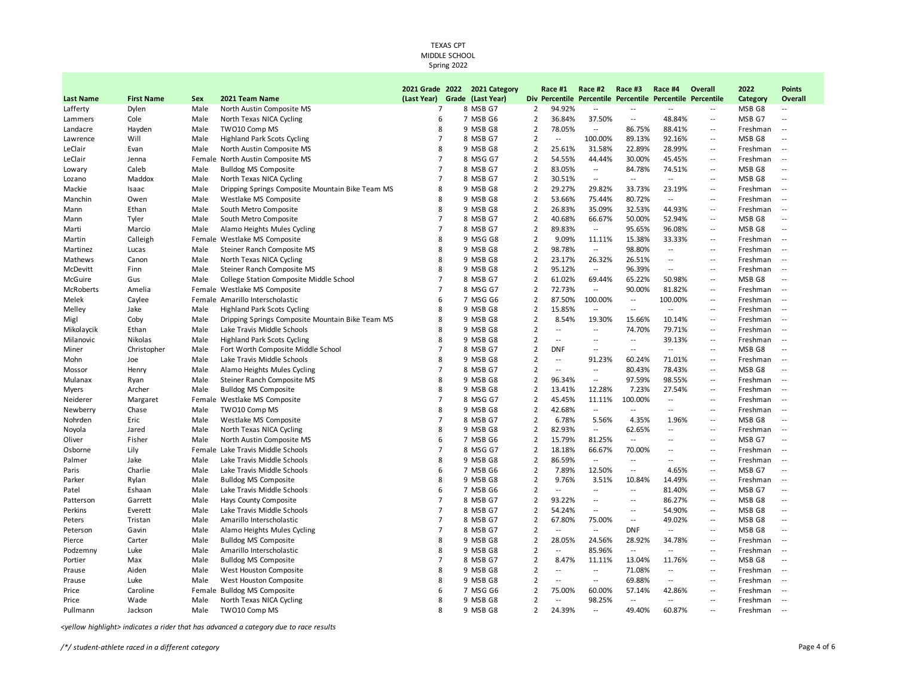|                  |                   |        |                                                  | 2021 Grade 2022 | 2021 Category     |                | Race #1        | Race #2                                                    | Race #3                  | Race #4                  | Overall                     | 2022     | <b>Points</b>            |
|------------------|-------------------|--------|--------------------------------------------------|-----------------|-------------------|----------------|----------------|------------------------------------------------------------|--------------------------|--------------------------|-----------------------------|----------|--------------------------|
| <b>Last Name</b> | <b>First Name</b> | Sex    | 2021 Team Name                                   | (Last Year)     | Grade (Last Year) |                |                | Div Percentile Percentile Percentile Percentile Percentile |                          |                          |                             | Category | Overall                  |
| Lafferty         | Dylen             | Male   | North Austin Composite MS                        | $\overline{7}$  | 8 MSB G7          | $\overline{2}$ | 94.92%         | $\overline{a}$                                             | $-$                      |                          |                             | MSB G8   | $\overline{\phantom{a}}$ |
| Lammers          | Cole              | Male   | North Texas NICA Cycling                         | 6               | 7 MSB G6          | 2              | 36.84%         | 37.50%                                                     | $\overline{\phantom{a}}$ | 48.84%                   | $\sim$ $\sim$               | MSB G7   | Ξ.                       |
| Landacre         | Hayden            | Male   | TWO10 Comp MS                                    | 8               | 9 MSB G8          | $\overline{2}$ | 78.05%         | $\sim$                                                     | 86.75%                   | 88.41%                   | $\sim$                      | Freshman | $\overline{\phantom{a}}$ |
| Lawrence         | Will              | Male   | <b>Highland Park Scots Cycling</b>               | $\overline{7}$  | 8 MSB G7          | $\overline{2}$ | $\overline{a}$ | 100.00%                                                    | 89.13%                   | 92.16%                   | $\sim$                      | MSB G8   | $\overline{\phantom{a}}$ |
| LeClair          | Evan              | Male   | North Austin Composite MS                        | 8               | 9 MSB G8          | 2              | 25.61%         | 31.58%                                                     | 22.89%                   | 28.99%                   | $\sim$                      | Freshman | $\overline{\phantom{a}}$ |
| LeClair          | Jenna             | Female | North Austin Composite MS                        | $\overline{7}$  | 8 MSG G7          | $\overline{2}$ | 54.55%         | 44.44%                                                     | 30.00%                   | 45.45%                   | $\sim$                      | Freshman | ٠.                       |
| Lowary           | Caleb             | Male   | <b>Bulldog MS Composite</b>                      | $\overline{7}$  | 8 MSB G7          | 2              | 83.05%         | $\overline{a}$                                             | 84.78%                   | 74.51%                   | $\sim$ $-$                  | MSB G8   | $\overline{\phantom{a}}$ |
| Lozano           | Maddox            | Male   | North Texas NICA Cycling                         | $\overline{7}$  | 8 MSB G7          | $\overline{2}$ | 30.51%         | $\overline{\phantom{a}}$                                   | $\overline{\phantom{a}}$ | $\overline{\phantom{a}}$ | $\overline{\phantom{a}}$    | MSB G8   | Ξ.                       |
| Mackie           | Isaac             | Male   | Dripping Springs Composite Mountain Bike Team MS | 8               | 9 MSB G8          | $\overline{2}$ | 29.27%         | 29.82%                                                     | 33.73%                   | 23.19%                   | $\sim$ $\sim$               | Freshman | $\overline{\phantom{a}}$ |
| Manchin          | Owen              | Male   | Westlake MS Composite                            | 8               | 9 MSB G8          | $\overline{2}$ | 53.66%         | 75.44%                                                     | 80.72%                   | $\sim$                   | $\sim$                      | Freshman | $\overline{\phantom{a}}$ |
| Mann             | Ethan             | Male   | South Metro Composite                            | 8               | 9 MSB G8          | 2              | 26.83%         | 35.09%                                                     | 32.53%                   | 44.93%                   | $\sim$                      | Freshman | $\overline{\phantom{a}}$ |
| Mann             | Tyler             | Male   | South Metro Composite                            | $\overline{7}$  | 8 MSB G7          | $\overline{2}$ | 40.68%         | 66.67%                                                     | 50.00%                   | 52.94%                   | $\overline{\phantom{a}}$    | MSB G8   | $\overline{\phantom{a}}$ |
| Marti            | Marcio            | Male   | Alamo Heights Mules Cycling                      | $\overline{7}$  | 8 MSB G7          | $\overline{2}$ | 89.83%         | $\overline{\phantom{a}}$                                   | 95.65%                   | 96.08%                   | $\sim$                      | MSB G8   | --                       |
| Martin           | Calleigh          |        | Female Westlake MS Composite                     | 8               | 9 MSG G8          | 2              | 9.09%          | 11.11%                                                     | 15.38%                   | 33.33%                   | $\sim$ $-$                  | Freshman | $\sim$                   |
| Martinez         | Lucas             | Male   | Steiner Ranch Composite MS                       | 8               | 9 MSB G8          | $\overline{2}$ | 98.78%         | $\overline{\phantom{a}}$                                   | 98.80%                   | $\overline{\phantom{a}}$ | $\sim$                      | Freshman | ٠.                       |
| Mathews          | Canon             | Male   | North Texas NICA Cycling                         | 8               | 9 MSB G8          | $\overline{2}$ | 23.17%         | 26.32%                                                     | 26.51%                   | $\overline{\phantom{a}}$ | $\sim$                      | Freshman | $\overline{\phantom{a}}$ |
| McDevitt         | Finn              | Male   | Steiner Ranch Composite MS                       | 8               | 9 MSB G8          | $\overline{2}$ | 95.12%         | $\overline{\phantom{a}}$                                   | 96.39%                   | $\overline{\phantom{a}}$ | $\sim$                      | Freshman | $\overline{a}$           |
| McGuire          | Gus               | Male   | College Station Composite Middle School          | $\overline{7}$  | 8 MSB G7          | $\overline{2}$ | 61.02%         | 69.44%                                                     | 65.22%                   | 50.98%                   | $\sim$                      | MSB G8   | $\overline{\phantom{a}}$ |
| McRoberts        | Amelia            |        | Female Westlake MS Composite                     | $\overline{7}$  | 8 MSG G7          | $\overline{2}$ | 72.73%         | $\overline{a}$                                             | 90.00%                   | 81.82%                   | $\overline{\phantom{a}}$    | Freshman | $\overline{\phantom{a}}$ |
| Melek            | Caylee            |        | Female Amarillo Interscholastic                  | 6               | 7 MSG G6          | 2              | 87.50%         | 100.00%                                                    | $\sim$ $\sim$            | 100.00%                  | $\sim$ $-$                  | Freshman | $\overline{a}$           |
| Melley           | Jake              | Male   | <b>Highland Park Scots Cycling</b>               | 8               | 9 MSB G8          | 2              | 15.85%         | $\overline{a}$                                             | $\sim$ $\sim$            | $\sim$                   | $\sim$                      | Freshman | $\overline{a}$           |
| Migl             | Coby              | Male   | Dripping Springs Composite Mountain Bike Team MS | 8               | 9 MSB G8          | $\overline{2}$ | 8.54%          | 19.30%                                                     | 15.66%                   | 10.14%                   | $\sim$                      | Freshman | $\overline{\phantom{a}}$ |
| Mikolaycik       | Ethan             | Male   | Lake Travis Middle Schools                       | 8               | 9 MSB G8          | $\overline{2}$ | $\overline{a}$ | $\overline{a}$                                             | 74.70%                   | 79.71%                   | $\sim$                      | Freshman | $\overline{\phantom{a}}$ |
| Milanovic        | Nikolas           | Male   | <b>Highland Park Scots Cycling</b>               | 8               | 9 MSB G8          | $\overline{2}$ | --             | $\overline{a}$                                             | $\overline{\phantom{a}}$ | 39.13%                   | $\sim$ $\sim$               | Freshman | $\overline{\phantom{a}}$ |
| Miner            | Christopher       | Male   | Fort Worth Composite Middle School               | $\overline{7}$  | 8 MSB G7          | $\overline{2}$ | <b>DNF</b>     | $\overline{a}$                                             | $\overline{\phantom{a}}$ | $\sim$                   | $\overline{\phantom{a}}$    | MSB G8   | $\overline{a}$           |
| Mohn             | Joe               | Male   | Lake Travis Middle Schools                       | 8               | 9 MSB G8          | $\overline{2}$ | $\overline{a}$ | 91.23%                                                     | 60.24%                   | 71.01%                   | $\overline{a}$              | Freshman | $\overline{\phantom{a}}$ |
| Mossor           | Henry             | Male   | Alamo Heights Mules Cycling                      | $\overline{7}$  | 8 MSB G7          | $\overline{2}$ | $\overline{a}$ | $\overline{a}$                                             | 80.43%                   | 78.43%                   | $\sim$ $-$                  | MSB G8   | $\overline{\phantom{a}}$ |
| Mulanax          | Ryan              | Male   | Steiner Ranch Composite MS                       | 8               | 9 MSB G8          | $\overline{2}$ | 96.34%         | $\overline{\phantom{a}}$                                   | 97.59%                   | 98.55%                   | $\sim$                      | Freshman | $\overline{\phantom{a}}$ |
| Myers            | Archer            | Male   | <b>Bulldog MS Composite</b>                      | 8               | 9 MSB G8          | $\overline{2}$ | 13.41%         | 12.28%                                                     | 7.23%                    | 27.54%                   | $\sim$                      | Freshman | ٠.                       |
| Neiderer         | Margaret          |        | Female Westlake MS Composite                     | 7               | 8 MSG G7          | 2              | 45.45%         | 11.11%                                                     | 100.00%                  | $\overline{\phantom{a}}$ | $\sim$                      | Freshman | $\overline{a}$           |
| Newberry         | Chase             | Male   | TWO10 Comp MS                                    | 8               | 9 MSB G8          | $\overline{2}$ | 42.68%         | $\overline{a}$                                             | $\overline{a}$           |                          | $\sim$                      | Freshman | ٠.                       |
| Nohrden          | Eric              | Male   | Westlake MS Composite                            | $\overline{7}$  | 8 MSB G7          | $\overline{2}$ | 6.78%          | 5.56%                                                      | 4.35%                    | 1.96%                    | $\sim$                      | MSB G8   | --                       |
| Noyola           | Jared             | Male   | North Texas NICA Cycling                         | 8               | 9 MSB G8          | $\overline{2}$ | 82.93%         | $\overline{a}$                                             | 62.65%                   | $\overline{\phantom{a}}$ | $\sim$                      | Freshman | $\overline{\phantom{a}}$ |
| Oliver           | Fisher            | Male   | North Austin Composite MS                        | 6               | 7 MSB G6          | $\overline{2}$ | 15.79%         | 81.25%                                                     | $\overline{a}$           |                          | $\sim$ $-$                  | MSB G7   | $\overline{a}$           |
| Osborne          | Lily              |        | Female Lake Travis Middle Schools                | $\overline{7}$  | 8 MSG G7          | $\overline{2}$ | 18.18%         | 66.67%                                                     | 70.00%                   | $\sim$                   | $\overline{a}$              | Freshman | $\overline{a}$           |
| Palmer           | Jake              | Male   | Lake Travis Middle Schools                       | 8               | 9 MSB G8          | 2              | 86.59%         | $\sim$                                                     | $\sim$ $\sim$            | $\overline{\phantom{a}}$ | $\sim$ $-$                  | Freshman | $\overline{a}$           |
| Paris            | Charlie           | Male   | Lake Travis Middle Schools                       | 6               | 7 MSB G6          | $\overline{2}$ | 7.89%          | 12.50%                                                     | $\overline{\phantom{a}}$ | 4.65%                    | $\sim$                      | MSB G7   | $\overline{\phantom{a}}$ |
| Parker           | Rylan             | Male   | <b>Bulldog MS Composite</b>                      | 8               | 9 MSB G8          | $\overline{2}$ | 9.76%          | 3.51%                                                      | 10.84%                   | 14.49%                   | $\sim$ $\sim$               | Freshman | ٠.                       |
| Patel            | Eshaan            | Male   | Lake Travis Middle Schools                       | 6               | 7 MSB G6          | $\overline{2}$ | $\overline{a}$ | $-$                                                        | $\sim$ $\sim$            | 81.40%                   | $\mathcal{L}_{\mathcal{A}}$ | MSB G7   | $\overline{\phantom{a}}$ |
| Patterson        | Garrett           | Male   | Hays County Composite                            | $\overline{7}$  | 8 MSB G7          | $\overline{2}$ | 93.22%         | $\overline{a}$                                             | $\overline{\phantom{a}}$ | 86.27%                   | $\sim$ $\sim$               | MSB G8   | $\overline{a}$           |
| Perkins          | Everett           | Male   | Lake Travis Middle Schools                       | $\overline{7}$  | 8 MSB G7          | $\overline{2}$ | 54.24%         | $\overline{a}$                                             | $\overline{a}$           | 54.90%                   | $\sim$                      | MSB G8   | $\overline{a}$           |
| Peters           | Tristan           | Male   | Amarillo Interscholastic                         | $\overline{7}$  | 8 MSB G7          | $\overline{2}$ | 67.80%         | 75.00%                                                     | $\sim$ $\sim$            | 49.02%                   | $\sim$ $-$                  | MSB G8   | $\overline{a}$           |
| Peterson         | Gavin             | Male   | Alamo Heights Mules Cycling                      | $\overline{7}$  | 8 MSB G7          | $\overline{2}$ | $\overline{a}$ | $\overline{\phantom{a}}$                                   | <b>DNF</b>               | $\overline{\phantom{a}}$ | $\sim$                      | MSB G8   | $\overline{\phantom{a}}$ |
| Pierce           | Carter            | Male   | <b>Bulldog MS Composite</b>                      | 8               | 9 MSB G8          | $\overline{2}$ | 28.05%         | 24.56%                                                     | 28.92%                   | 34.78%                   | $\overline{\phantom{a}}$    | Freshman | $\overline{\phantom{a}}$ |
| Podzemny         | Luke              | Male   | Amarillo Interscholastic                         | 8               | 9 MSB G8          | 2              | $\overline{a}$ | 85.96%                                                     | $\sim$ $\sim$            | $\sim$                   | $\overline{\phantom{a}}$    | Freshman | ٠.                       |
| Portier          | Max               | Male   | <b>Bulldog MS Composite</b>                      | $\overline{7}$  | 8 MSB G7          | 2              | 8.47%          | 11.11%                                                     | 13.04%                   | 11.76%                   | $\sim$                      | MSB G8   | $\overline{\phantom{a}}$ |
| Prause           | Aiden             | Male   | West Houston Composite                           | 8               | 9 MSB G8          | $\overline{2}$ | --             | $\overline{\phantom{a}}$                                   | 71.08%                   | $\overline{\phantom{a}}$ | $\ddotsc$                   | Freshman | $\overline{\phantom{a}}$ |
| Prause           | Luke              | Male   | West Houston Composite                           | 8               | 9 MSB G8          | $\overline{2}$ | $\overline{a}$ | $\overline{\phantom{a}}$                                   | 69.88%                   | $\sim$                   | $\overline{a}$              | Freshman | $\overline{\phantom{a}}$ |
| Price            | Caroline          |        | Female Bulldog MS Composite                      | 6               | 7 MSG G6          | $\overline{2}$ | 75.00%         | 60.00%                                                     | 57.14%                   | 42.86%                   | $\sim$ $\sim$               | Freshman | $\overline{\phantom{a}}$ |
| Price            | Wade              | Male   | North Texas NICA Cycling                         | 8               | 9 MSB G8          | $\overline{2}$ | --             | 98.25%                                                     | $\overline{a}$           | $\sim$                   | $\overline{\phantom{a}}$    | Freshman | $\overline{a}$           |
| Pullmann         | Jackson           | Male   | TWO10 Comp MS                                    | 8               | 9 MSB G8          | $\overline{2}$ | 24.39%         | $-$                                                        | 49.40%                   | 60.87%                   | $\sim$                      | Freshman | $\sim$                   |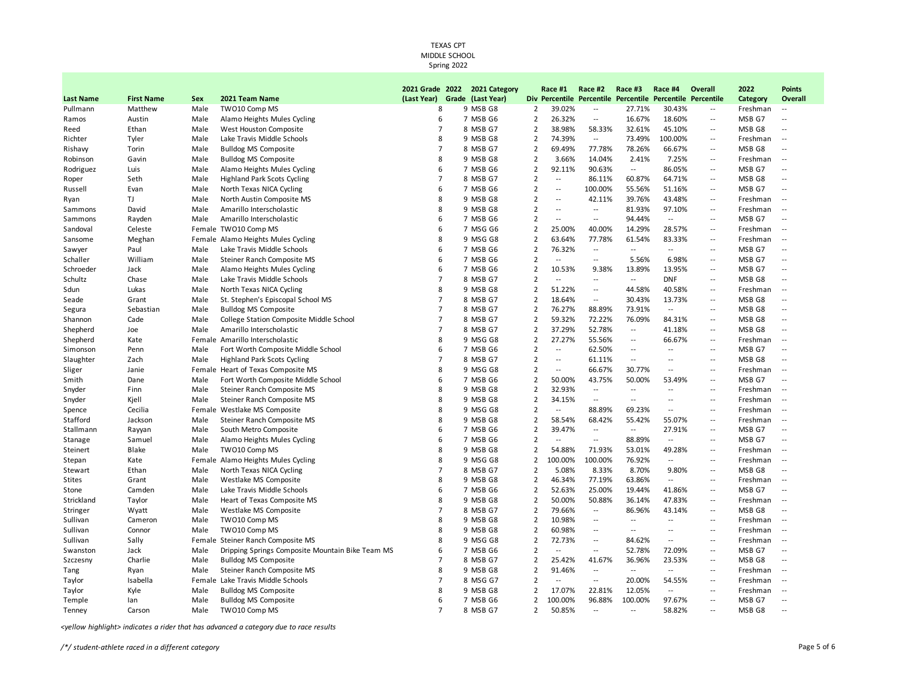|                  |                   |      |                                                  | 2021 Grade 2022 |       | 2021 Category |                | Race #1                  | Race #2                      | Race #3                  | Race #4                      | Overall                  | 2022              | Points                                        |
|------------------|-------------------|------|--------------------------------------------------|-----------------|-------|---------------|----------------|--------------------------|------------------------------|--------------------------|------------------------------|--------------------------|-------------------|-----------------------------------------------|
| <b>Last Name</b> | <b>First Name</b> | Sex  | 2021 Team Name                                   | (Last Year)     | Grade | (Last Year)   |                | <b>Div Percentile</b>    | <b>Percentile Percentile</b> |                          | <b>Percentile Percentile</b> |                          | Category          | Overall                                       |
| Pullmann         | Matthew           | Male | TWO10 Comp MS                                    | 8               |       | 9 MSB G8      | $\overline{2}$ | 39.02%                   | $\overline{\phantom{a}}$     | 27.71%                   | 30.43%                       | $\overline{\phantom{a}}$ | Freshman          | $\overline{\phantom{a}}$                      |
| Ramos            | Austin            | Male | Alamo Heights Mules Cycling                      | 6               |       | 7 MSB G6      | $\overline{2}$ | 26.32%                   | $\overline{\phantom{a}}$     | 16.67%                   | 18.60%                       | $\ddotsc$                | MSB G7            | $\overline{a}$                                |
| Reed             | Ethan             | Male | West Houston Composite                           | $\overline{7}$  |       | 8 MSB G7      | $\overline{2}$ | 38.98%                   | 58.33%                       | 32.61%                   | 45.10%                       | $\overline{a}$           | MSB G8            | $\overline{\phantom{a}}$                      |
| Richter          | Tyler             | Male | Lake Travis Middle Schools                       | 8               |       | 9 MSB G8      | $\overline{2}$ | 74.39%                   | $\overline{a}$               | 73.49%                   | 100.00%                      | $\overline{a}$           | Freshman          | $\sim$                                        |
| Rishavy          | Torin             | Male | <b>Bulldog MS Composite</b>                      | $\overline{7}$  |       | 8 MSB G7      | 2              | 69.49%                   | 77.78%                       | 78.26%                   | 66.67%                       | $\overline{a}$           | MSB G8            | $\sim$                                        |
| Robinson         | Gavin             | Male | <b>Bulldog MS Composite</b>                      | 8               |       | 9 MSB G8      | $\overline{2}$ | 3.66%                    | 14.04%                       | 2.41%                    | 7.25%                        | $\overline{\phantom{a}}$ | Freshman          | $\mathord{\hspace{1pt}\text{--}\hspace{1pt}}$ |
| Rodriguez        | Luis              | Male | Alamo Heights Mules Cycling                      | 6               |       | 7 MSB G6      | 2              | 92.11%                   | 90.63%                       | $\overline{a}$           | 86.05%                       | $\overline{a}$           | MSB G7            | --                                            |
| Roper            | Seth              | Male | <b>Highland Park Scots Cycling</b>               | $\overline{7}$  |       | 8 MSB G7      | $\overline{2}$ | $\overline{\phantom{a}}$ | 86.11%                       | 60.87%                   | 64.71%                       | $\ddotsc$                | MSB G8            | --                                            |
| Russell          | Evan              | Male | North Texas NICA Cycling                         | 6               |       | 7 MSB G6      | $\overline{2}$ | $\overline{\phantom{a}}$ | 100.00%                      | 55.56%                   | 51.16%                       | $\ddotsc$                | MSB G7            | $\sim$ $\sim$                                 |
| Ryan             | TJ                | Male | North Austin Composite MS                        | 8               |       | 9 MSB G8      | $\overline{2}$ | $\overline{\phantom{a}}$ | 42.11%                       | 39.76%                   | 43.48%                       | $\overline{\phantom{m}}$ | Freshman          | $\overline{\phantom{a}}$                      |
| Sammons          | David             | Male | Amarillo Interscholastic                         | 8               |       | 9 MSB G8      | $\overline{2}$ | $\overline{\phantom{a}}$ | $\overline{a}$               | 81.93%                   | 97.10%                       | $\overline{a}$           | Freshman          | $\sim$ $\sim$                                 |
| Sammons          | Rayden            | Male | Amarillo Interscholastic                         | 6               |       | 7 MSB G6      | $\overline{2}$ | $\cdots$                 | $\overline{\phantom{a}}$     | 94.44%                   | $\overline{\phantom{a}}$     | $\overline{\phantom{a}}$ | MSB G7            | $\sim$                                        |
| Sandoval         | Celeste           |      | Female TWO10 Comp MS                             | 6               |       | 7 MSG G6      | $\overline{2}$ | 25.00%                   | 40.00%                       | 14.29%                   | 28.57%                       | $\overline{\phantom{a}}$ | Freshman          | $\sim$                                        |
| Sansome          | Meghan            |      | Female Alamo Heights Mules Cycling               | 8               |       | 9 MSG G8      | 2              | 63.64%                   | 77.78%                       | 61.54%                   | 83.33%                       | $\overline{a}$           | Freshman          | $\sim$                                        |
| Sawyer           | Paul              | Male | Lake Travis Middle Schools                       | 6               |       | 7 MSB G6      | $\overline{2}$ | 76.32%                   | $\overline{\phantom{a}}$     | $\overline{\phantom{a}}$ | $\overline{\phantom{a}}$     | $\overline{\phantom{a}}$ | MSB G7            | $\overline{\phantom{a}}$                      |
| Schaller         | William           | Male | Steiner Ranch Composite MS                       | 6               |       | 7 MSB G6      | $\overline{2}$ | $\overline{\phantom{a}}$ | $\overline{\phantom{a}}$     | 5.56%                    | 6.98%                        | $\overline{\phantom{a}}$ | MSB G7            | --                                            |
| Schroeder        | Jack              | Male | Alamo Heights Mules Cycling                      | 6               |       | 7 MSB G6      | $\overline{2}$ | 10.53%                   | 9.38%                        | 13.89%                   | 13.95%                       | $\overline{\phantom{a}}$ | MSB G7            | $\sim$                                        |
| Schultz          | Chase             | Male | Lake Travis Middle Schools                       | $\overline{7}$  |       | 8 MSB G7      | $\overline{2}$ | $\overline{a}$           | $\overline{\phantom{a}}$     | $\sim$                   | <b>DNF</b>                   | $\overline{\phantom{a}}$ | MSB G8            | $\overline{\phantom{a}}$                      |
| Sdun             | Lukas             | Male | North Texas NICA Cycling                         | 8               |       | 9 MSB G8      | $\overline{2}$ | 51.22%                   | $\overline{\phantom{a}}$     | 44.58%                   | 40.58%                       | $\overline{\phantom{a}}$ | Freshman          | $\overline{\phantom{a}}$                      |
| Seade            | Grant             | Male | St. Stephen's Episcopal School MS                | $\overline{7}$  |       | 8 MSB G7      | $\overline{2}$ | 18.64%                   | $\overline{\phantom{a}}$     | 30.43%                   | 13.73%                       | $\ddotsc$                | MSB G8            | $\overline{a}$                                |
| Segura           | Sebastian         | Male | <b>Bulldog MS Composite</b>                      | $\overline{7}$  |       | 8 MSB G7      | $\overline{2}$ | 76.27%                   | 88.89%                       | 73.91%                   | $\overline{\phantom{a}}$     | $\overline{\phantom{a}}$ | MSB G8            | $\sim$                                        |
| Shannon          | Cade              | Male | College Station Composite Middle School          | $\overline{7}$  |       | 8 MSB G7      | $\overline{2}$ | 59.32%                   | 72.22%                       | 76.09%                   | 84.31%                       | $\overline{\phantom{a}}$ | MSB G8            | $\sim$                                        |
| Shepherd         | Joe               | Male | Amarillo Interscholastic                         | $\overline{7}$  |       | 8 MSB G7      | $\overline{2}$ | 37.29%                   | 52.78%                       | $\overline{\phantom{a}}$ | 41.18%                       | $\sim$ $\sim$            | MSB <sub>G8</sub> | $\sim$                                        |
| Shepherd         | Kate              |      | Female Amarillo Interscholastic                  | 8               |       | 9 MSG G8      | $\overline{2}$ | 27.27%                   | 55.56%                       | $\overline{\phantom{a}}$ | 66.67%                       | $\overline{\phantom{a}}$ | Freshman          | $\sim$                                        |
| Simonson         | Penn              | Male | Fort Worth Composite Middle School               | 6               |       | 7 MSB G6      | $\overline{2}$ | $\overline{\phantom{a}}$ | 62.50%                       | $\overline{\phantom{a}}$ | $\overline{\phantom{a}}$     | $\overline{\phantom{a}}$ | MSB G7            | $\overline{\phantom{a}}$                      |
| Slaughter        | Zach              | Male | <b>Highland Park Scots Cycling</b>               | $\overline{7}$  |       | 8 MSB G7      | $\overline{2}$ | $\overline{a}$           | 61.11%                       | $\sim$ $\sim$            | $\overline{a}$               | $\overline{a}$           | MSB G8            | $\sim$ $\sim$                                 |
| Sliger           | Janie             |      | Female Heart of Texas Composite MS               | 8               |       | 9 MSG G8      | $\overline{2}$ | $\overline{a}$           | 66.67%                       | 30.77%                   | $\overline{a}$               | $\overline{a}$           | Freshman          | $\sim$                                        |
| Smith            | Dane              | Male | Fort Worth Composite Middle School               | 6               |       | 7 MSB G6      | $\overline{2}$ | 50.00%                   | 43.75%                       | 50.00%                   | 53.49%                       | $\overline{\phantom{a}}$ | MSB G7            | $\overline{\phantom{a}}$                      |
| Snyder           | Finn              | Male | Steiner Ranch Composite MS                       | 8               |       | 9 MSB G8      | $\overline{2}$ | 32.93%                   | $\sim$ $\sim$                | $\sim$ $\sim$            | $\overline{a}$               | $\overline{\phantom{a}}$ | Freshman          | $\sim$                                        |
| Snyder           | Kjell             | Male | Steiner Ranch Composite MS                       | 8               |       | 9 MSB G8      | $\overline{2}$ | 34.15%                   | $\overline{\phantom{a}}$     | $\overline{\phantom{a}}$ | $\overline{\phantom{a}}$     | $\overline{\phantom{a}}$ | Freshman          | $\sim$                                        |
| Spence           | Cecilia           |      | Female Westlake MS Composite                     | 8               |       | 9 MSG G8      | $\overline{2}$ | $\overline{\phantom{a}}$ | 88.89%                       | 69.23%                   | $\overline{\phantom{a}}$     | $\overline{\phantom{a}}$ | Freshman          | $\sim$                                        |
| Stafford         | Jackson           | Male | Steiner Ranch Composite MS                       | 8               |       | 9 MSB G8      | $\overline{2}$ | 58.54%                   | 68.42%                       | 55.42%                   | 55.07%                       | $\ddotsc$                | Freshman          | $\overline{\phantom{a}}$                      |
| Stallmann        | Rayyan            | Male | South Metro Composite                            | 6               |       | 7 MSB G6      | $\overline{2}$ | 39.47%                   | $\overline{a}$               | $\overline{a}$           | 27.91%                       | $\ddotsc$                | MSB G7            | $\overline{\phantom{a}}$                      |
| Stanage          | Samuel            | Male | Alamo Heights Mules Cycling                      | 6               |       | 7 MSB G6      | $\overline{2}$ |                          | $\overline{a}$               | 88.89%                   | $\overline{a}$               | $\overline{a}$           | MSB G7            | $\overline{a}$                                |
| Steinert         | Blake             | Male | TWO10 Comp MS                                    | 8               |       | 9 MSB G8      | $\overline{2}$ | 54.88%                   | 71.93%                       | 53.01%                   | 49.28%                       | $\overline{\phantom{a}}$ | Freshman          | $\sim$                                        |
| Stepan           | Kate              |      | Female Alamo Heights Mules Cycling               | 8               |       | 9 MSG G8      | $\overline{2}$ | 100.00%                  | 100.00%                      | 76.92%                   | $\sim$                       | $\overline{a}$           | Freshman          | $\sim$ $\sim$                                 |
| Stewart          | Ethan             | Male | North Texas NICA Cycling                         | $\overline{7}$  |       | 8 MSB G7      | $\overline{2}$ | 5.08%                    | 8.33%                        | 8.70%                    | 9.80%                        | $\overline{\phantom{a}}$ | MSB G8            | $\sim$                                        |
| <b>Stites</b>    | Grant             | Male | Westlake MS Composite                            | 8               |       | 9 MSB G8      | $\overline{2}$ | 46.34%                   | 77.19%                       | 63.86%                   | $\overline{\phantom{a}}$     | $\overline{\phantom{a}}$ | Freshman          | $\sim$                                        |
| Stone            | Camden            | Male | Lake Travis Middle Schools                       | 6               |       | 7 MSB G6      | $\overline{2}$ | 52.63%                   | 25.00%                       | 19.44%                   | 41.86%                       | $\overline{\phantom{a}}$ | MSB G7            | $-$                                           |
| Strickland       | Taylor            | Male | Heart of Texas Composite MS                      | 8               |       | 9 MSB G8      | $\overline{2}$ | 50.00%                   | 50.88%                       | 36.14%                   | 47.83%                       | $\ddotsc$                | Freshman          | $\sim$                                        |
| Stringer         | Wyatt             | Male | Westlake MS Composite                            | $\overline{7}$  |       | 8 MSB G7      | $\overline{2}$ | 79.66%                   | $\overline{\phantom{a}}$     | 86.96%                   | 43.14%                       | $\overline{a}$           | MSB G8            | $\overline{\phantom{a}}$                      |
| Sullivan         | Cameron           | Male | TWO10 Comp MS                                    | 8               |       | 9 MSB G8      | $\overline{2}$ | 10.98%                   | $\sim$                       | $\overline{\phantom{a}}$ | $\sim$ $\sim$                | $\overline{a}$           | Freshman          | $\sim$                                        |
| Sullivan         | Connor            | Male | TWO10 Comp MS                                    | 8               |       | 9 MSB G8      | $\overline{2}$ | 60.98%                   | $\overline{\phantom{a}}$     | $\overline{\phantom{a}}$ | $\overline{a}$               | $\overline{\phantom{a}}$ | Freshman          | $\sim$                                        |
| Sullivan         | Sally             |      | Female Steiner Ranch Composite MS                | $\mathbf{8}$    |       | 9 MSG G8      | $\overline{2}$ | 72.73%                   | $\overline{\phantom{a}}$     | 84.62%                   | $\overline{\phantom{a}}$     | $\overline{\phantom{a}}$ | Freshman          | $\sim$                                        |
| Swanston         | Jack              | Male | Dripping Springs Composite Mountain Bike Team MS | 6               |       | 7 MSB G6      | 2              | $\overline{a}$           | $\sim$                       | 52.78%                   | 72.09%                       | $\overline{a}$           | MSB G7            | $\sim$ $\sim$                                 |
| Szczesny         | Charlie           | Male | <b>Bulldog MS Composite</b>                      | $\overline{7}$  |       | 8 MSB G7      | 2              | 25.42%                   | 41.67%                       | 36.96%                   | 23.53%                       | $\overline{\phantom{a}}$ | MSB G8            | --                                            |
| Tang             | Ryan              | Male | Steiner Ranch Composite MS                       | 8               |       | 9 MSB G8      | $\overline{2}$ | 91.46%                   | $\overline{\phantom{a}}$     | $\overline{\phantom{a}}$ | $\overline{\phantom{a}}$     | $\ddotsc$                | Freshman          | $\sim$                                        |
| Taylor           | Isabella          |      | Female Lake Travis Middle Schools                | $\overline{7}$  |       | 8 MSG G7      | $\overline{2}$ | $\overline{\phantom{a}}$ | $\overline{\phantom{a}}$     | 20.00%                   | 54.55%                       | $\overline{a}$           | Freshman          | $\sim$                                        |
| Taylor           | Kyle              | Male | <b>Bulldog MS Composite</b>                      | 8               |       | 9 MSB G8      | $\overline{2}$ | 17.07%                   | 22.81%                       | 12.05%                   | $\overline{\phantom{a}}$     | $\ddotsc$                | Freshman          | $\sim$ $\sim$                                 |
| Temple           | lan               | Male | <b>Bulldog MS Composite</b>                      | 6               |       | 7 MSB G6      | $\overline{2}$ | 100.00%                  | 96.88%                       | 100.00%                  | 97.67%                       | $\overline{\phantom{a}}$ | MSB G7            | $\overline{\phantom{a}}$                      |
| Tenney           | Carson            | Male | TWO10 Comp MS                                    | $\overline{7}$  |       | 8 MSB G7      | $\overline{2}$ | 50.85%                   | $\sim$                       | $\overline{a}$           | 58.82%                       | $\overline{a}$           | MSB G8            | $\overline{a}$                                |